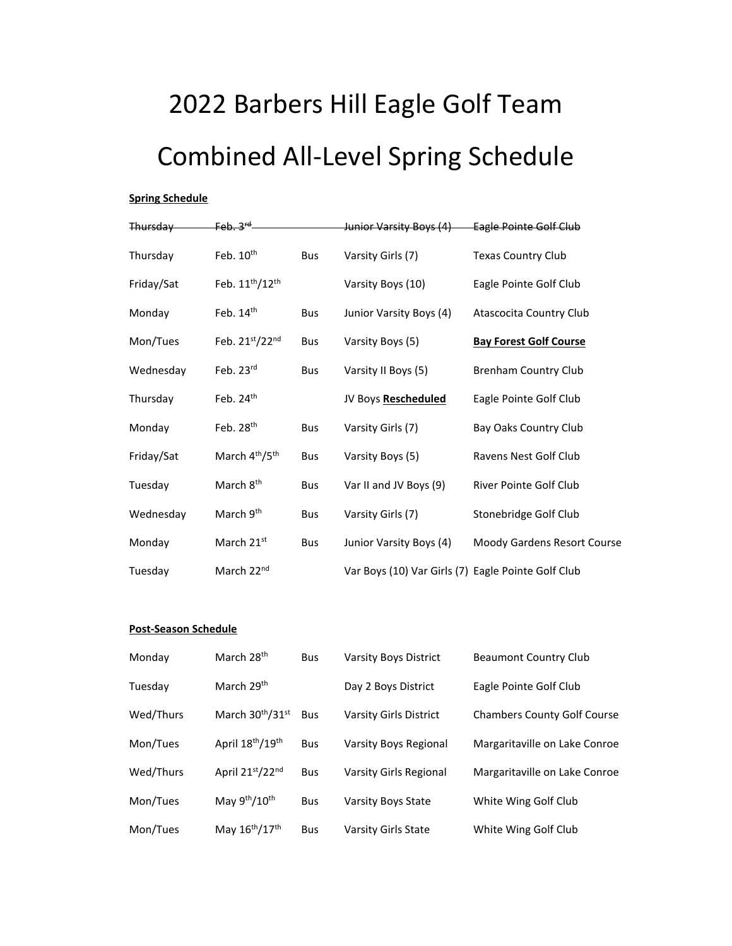## 2022 Barbers Hill Eagle Golf Team Combined All-Level Spring Schedule

## **Spring Schedule**

| <b>Thursday</b> | $Feh$ $2rd$                             |            | <del>Junior Varsity Boys (4)</del>                 | Eagle Pointe Golf Club        |
|-----------------|-----------------------------------------|------------|----------------------------------------------------|-------------------------------|
| Thursday        | Feb. 10th                               | <b>Bus</b> | Varsity Girls (7)                                  | <b>Texas Country Club</b>     |
| Friday/Sat      | Feb. 11 <sup>th</sup> /12 <sup>th</sup> |            | Varsity Boys (10)                                  | Eagle Pointe Golf Club        |
| Monday          | Feb. $14th$                             | Bus        | Junior Varsity Boys (4)                            | Atascocita Country Club       |
| Mon/Tues        | Feb. 21st/22nd                          | <b>Bus</b> | Varsity Boys (5)                                   | <b>Bay Forest Golf Course</b> |
| Wednesday       | Feb. 23rd                               | <b>Bus</b> | Varsity II Boys (5)                                | <b>Brenham Country Club</b>   |
| Thursday        | Feb. 24th                               |            | JV Boys Rescheduled                                | Eagle Pointe Golf Club        |
| Monday          | Feb. $28th$                             | <b>Bus</b> | Varsity Girls (7)                                  | Bay Oaks Country Club         |
| Friday/Sat      | March 4 <sup>th</sup> /5 <sup>th</sup>  | <b>Bus</b> | Varsity Boys (5)                                   | Ravens Nest Golf Club         |
| Tuesday         | March 8 <sup>th</sup>                   | <b>Bus</b> | Var II and JV Boys (9)                             | River Pointe Golf Club        |
| Wednesday       | March 9th                               | <b>Bus</b> | Varsity Girls (7)                                  | Stonebridge Golf Club         |
| Monday          | March 21st                              | <b>Bus</b> | Junior Varsity Boys (4)                            | Moody Gardens Resort Course   |
| Tuesday         | March 22 <sup>nd</sup>                  |            | Var Boys (10) Var Girls (7) Eagle Pointe Golf Club |                               |

## **Post-Season Schedule**

| Monday    | March 28 <sup>th</sup>                   | <b>Bus</b> | <b>Varsity Boys District</b> | <b>Beaumont Country Club</b>       |
|-----------|------------------------------------------|------------|------------------------------|------------------------------------|
| Tuesday   | March 29 <sup>th</sup>                   |            | Day 2 Boys District          | Eagle Pointe Golf Club             |
| Wed/Thurs | March 30 <sup>th</sup> /31 <sup>st</sup> | <b>Bus</b> | Varsity Girls District       | <b>Chambers County Golf Course</b> |
| Mon/Tues  | April 18 <sup>th</sup> /19 <sup>th</sup> | <b>Bus</b> | Varsity Boys Regional        | Margaritaville on Lake Conroe      |
| Wed/Thurs | April 21st/22nd                          | <b>Bus</b> | Varsity Girls Regional       | Margaritaville on Lake Conroe      |
| Mon/Tues  | May 9th/10th                             | <b>Bus</b> | <b>Varsity Boys State</b>    | White Wing Golf Club               |
| Mon/Tues  | May 16 <sup>th</sup> /17 <sup>th</sup>   | <b>Bus</b> | Varsity Girls State          | White Wing Golf Club               |